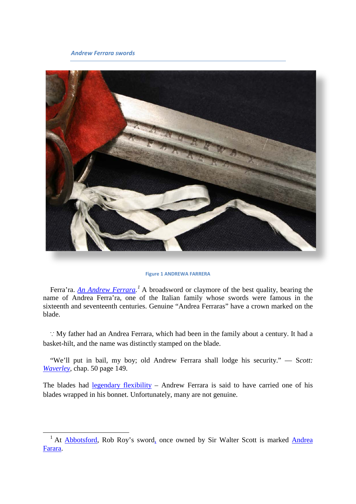#### *Andrew Ferrara swords*



#### **Figure 1 ANDREWA FARRERA**

Ferra'ra. *An Andrew Ferrara*.<sup>[1](#page-0-0)</sup> A broadsword or claymore of the best quality, bearing the name of Andrea Ferra'ra, one of the Italian family whose swords were famous in the sixteenth and seventeenth centuries. Genuine "Andrea Ferraras" have a crown marked on the blade.

∵ My father had an Andrea Ferrara, which had been in the family about a century. It had a basket-hilt, and the name was distinctly stamped on the blade.

"We'll put in bail, my boy; old Andrew Ferrara shall lodge his security." — S*cott: [Waverley,](http://books.google.com/books?id=kmoZAAAAYAAJ&dq=Andrew%20Ferrara&lr&client=firefox-a&pg=PA149#v=onepage&q&f=false)* chap. 50 page 149.

The blades had [legendary flexibility](http://books.google.com/books?id=JuMvAAAAMAAJ&lr=&pg=RA1-PA96) - Andrew Ferrara is said to have carried one of his blades wrapped in his bonnet. Unfortunately, many are not genuine.

<span id="page-0-0"></span><sup>&</sup>lt;sup>1</sup> At **Abbotsford**, Rob Roy's sword, once owned by Sir Walter Scott is marked **Andrea** [Farara.](http://www.archive.org/stream/abbotsfordperson00maxwuoft#page/n110/mode/1up)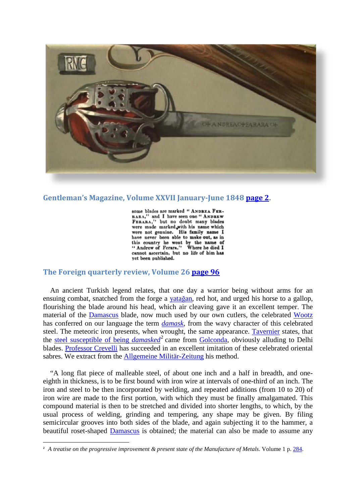

## **Gentleman's Magazine, Volume XXVII January-June 1848 [page 2.](http://books.google.com/books?id=svZYCKZhW1sC&lpg=PA2&ots=PgSVNi0sCM&dq=%22Andrew%20Ferara%22&pg=PA2)**

some blades are marked " ANDREA FER-BARA," and I have seen one " ANDREW FERARA," but no doubt many blades were made marked with his name which<br>were not genuine. His family name I were not genuine. have never been able to make out, as in this country he went by the name of "Andrew of Ferara." Where he died I cannot ascertain, but no life of him has vet been published.

## **The Foreign quarterly review, Volume 26 [page 96](http://books.google.com/books?id=JuMvAAAAMAAJ&lr=&pg=RA1-PA96)**

 $\overline{a}$ 

An ancient Turkish legend relates, that one day a warrior being without arms for an ensuing combat, snatched from the forge a [yata](https://www.google.com/maps/place/Yata%C4%9Fan,+Mu%C4%9Fla+Province,+Turkey/@37.3410943,28.1281431,3914m/data=!3m1!1e3!4m5!3m4!1s0x14bf10c60842ae99:0x8d67ad0238737145!8m2!3d37.340253!4d28.140032?hl=en)ğan, red hot, and urged his horse to a gallop, flourishing the blade around his head, which air cleaving gave it an excellent temper. The material of the [Damascus](http://maps.google.com/maps?f=q&source=s_q&hl=en&geocode=&q=Damascus,Syria&sll=37.3444,28.1285&sspn=0.025691,0.034032&gl=us&ie=UTF8&hq=&hnear=Damascus,+Syria&t=h&z=13) blade, now much used by our own cutlers, the celebrated [Wootz](http://en.wikipedia.org/wiki/Wootz_steel)  has conferred on our language the term *[damask,](http://en.wikipedia.org/wiki/Damascus_steel)* from the wavy character of this celebrated steel. The meteoric iron presents, when wrought, the same appearance. [Tavernier](http://books.google.com/books?id=mJYdAAAAMAAJ&dq=Tavernier%20golconda&pg=PA93) states, that the [steel susceptible of being](http://books.google.com/books?id=TUIZAQAAIAAJ&dq=Tavernier%20damasked%20%20golconda&pg=RA2-PA419#v=onepage&q=&f=false) *damasked*<sup>[2](#page-1-0)</sup> came from [Golconda,](http://maps.google.com/maps?f=q&source=s_q&hl=en&geocode=&q=Golconda,India&sll=40.952807,-117.489295&sspn=0.024406,0.034032&gl=us&g=Golconda&ie=UTF8&hq=Golconda+Fort&hnear=Golconda+Fort,+Bada+Bazar+Rd,+Golconda+Fort,+Hyderabad,+Andhra+Pradesh,+India&t=h&z=) obviously alluding to Delhi blades. [Professor Crevelli](http://books.google.com/books?id=LXE4AAAAMAAJ&dq=Memoria%20Sciabole%20Damasco%20Crivelli&pg=PA31#v=onepage&q=&f=false) has succeeded in an excellent imitation of these celebrated oriental sabres. We extract from the [Allgemeine Militär-Zeitung](http://books.google.com/books?id=VmYJAQAAIAAJ&printsec=frontcover&dq=Allgemeine+Militar-Zeitung&ei=va4RS_L0DIzSkwTXh8nxCw#v=onepage&q=&f=false) his method.

"A long flat piece of malleable steel, of about one inch and a half in breadth, and oneeighth in thickness, is to be first bound with iron wire at intervals of one-third of an inch. The iron and steel to be then incorporated by welding, and repeated additions (from 10 to 20) of iron wire are made to the first portion, with which they must be finally amalgamated. This compound material is then to be stretched and divided into shorter lengths, to which, by the usual process of welding, grinding and tempering, any shape may be given. By filing semicircular grooves into both sides of the blade, and again subjecting it to the hammer, a beautiful roset-shaped [Damascus](http://maps.google.com/maps?f=q&source=s_q&hl=en&geocode=&q=Damascus,Syria&sll=37.3444,28.1285&sspn=0.025691,0.034032&gl=us&ie=UTF8&hq=&hnear=Damascus,+Syria&t=h&z=13) is obtained; the material can also be made to assume any

<span id="page-1-0"></span>**<sup>2</sup>** *A treatise on the progressive improvement & present state of the Manufacture of Metals*. Volume 1 p. [284.](http://books.google.com/books?id=pDYKAAAAIAAJ&dq=editions%3ALCCN08009462&pg=PA284#v=onepage&q=&f=false)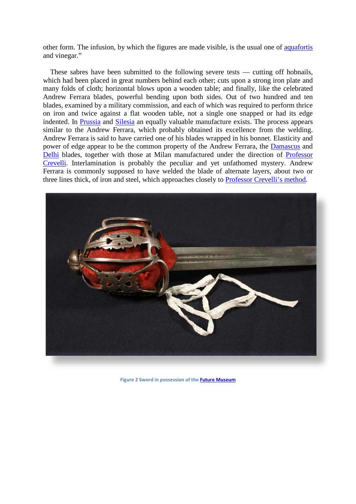other form. The infusion, by which the figures are made visible, is the usual one of [aquafortis](http://en.wikipedia.org/wiki/Aqua_fortis)  and vinegar."

These sabres have been submitted to the following severe tests — cutting off hobnails, which had been placed in great numbers behind each other; cuts upon a strong iron plate and many folds of cloth; horizontal blows upon a wooden table; and finally, like the celebrated Andrew Ferrara blades, powerful bending upon both sides. Out of two hundred and ten blades, examined by a military commission, and each of which was required to perform thrice on iron and twice against a flat wooden table, not a single one snapped or had its edge indented. In [Prussia](http://en.wikipedia.org/wiki/Prussia) and [Silesia](http://en.wikipedia.org/wiki/Silesia) an equally valuable manufacture exists. The process appears similar to the Andrew Ferrara, which probably obtained its excellence from the welding. Andrew Ferrara is said to have carried one of his blades wrapped in his bonnet. Elasticity and power of edge appear to be the common property of the Andrew Ferrara, the [Damascus](http://maps.google.com/maps?f=q&source=s_q&hl=en&geocode=&q=Damascus,Syria&sll=37.3444,28.1285&sspn=0.025691,0.034032&gl=us&ie=UTF8&hq=&hnear=Damascus,+Syria&t=h&z=13) and [Delhi](http://maps.google.com/maps?f=q&source=s_q&hl=en&geocode=&q=Delhi,+India&sll=37.0625,-95.677068&sspn=62.74193,44.824219&ie=UTF8&hq=&hnear=Delhi,+New+Delhi,+Delhi,+India&t=h&z=10) blades, together with those at Milan manufactured under the direction of Professor [Crevelli.](http://books.google.com/books?id=LXE4AAAAMAAJ&dq=Memoria%20Sciabole%20Damasco%20Crivelli&pg=PA31#v=onepage&q=&f=false) Interlamination is probably the peculiar and yet unfathomed mystery. Andrew Ferrara is commonly supposed to have welded the blade of alternate layers, about two or three lines thick, of iron and steel, which approaches closely to [Professor Crevelli's method.](http://books.google.com/books?id=cikYAQAAIAAJ&dq=Memoria%20Sciabole%20Damasco%20Crivelli&pg=PA207#v=onepage&q=Memoria%20Sciabole%20Damasco%20Crivelli&f=false)



**Figure 2 Sword in possession of th[e Future Museum](http://futuremuseum.co.uk/collections/people/lives-in-key-periods/rebellion-enlightenment/the-jacobite-rebellion/basket-hilt-sword.aspx)**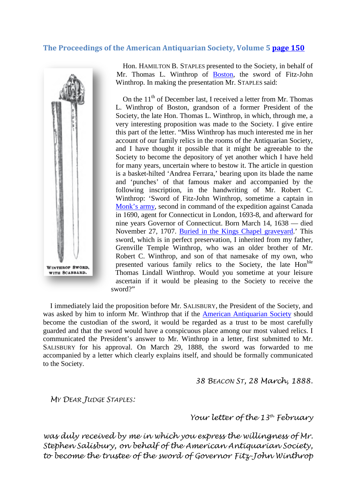### **The Proceedings of the American Antiquarian Society, Volume 5 [page 150](http://books.google.com/books?id=HfAOAAAAYAAJ&dq=Andrew%20Ferrara&client=firefox-a&pg=PA150#v=onepage&q=Andrew%20Ferrara&f=false)**



Hon. HAMILTON B. STAPLES presented to the Society, in behalf of Mr. Thomas L. Winthrop of **Boston**, the sword of Fitz-John Winthrop. In making the presentation Mr. STAPLES said:

On the  $11<sup>th</sup>$  of December last, I received a letter from Mr. Thomas L. Winthrop of Boston, grandson of a former President of the Society, the late Hon. Thomas L. Winthrop, in which, through me, a very interesting proposition was made to the Society. I give entire this part of the letter. "Miss Winthrop has much interested me in her account of our family relics in the rooms of the Antiquarian Society, and I have thought it possible that it might be agreeable to the Society to become the depository of yet another which I have held for many years, uncertain where to bestow it. The article in question is a basket-hilted 'Andrea Ferrara,' bearing upon its blade the name and 'punches' of that famous maker and accompanied by the following inscription, in the handwriting of Mr. Robert C. Winthrop: 'Sword of Fitz-John Winthrop, sometime a captain in [Monk's army,](http://books.google.com/books?id=NZgQAAAAYAAJ&lpg=PA1100&ots=71ZP-8j1C2&dq=%22Monk%E2%80%99s%20army%22&pg=PA1100#v=onepage&q=%22Monk%E2%80%99s%20army%22&f=false) second in command of the expedition against Canada in 1690, agent for Connecticut in London, 1693-8, and afterward for nine years Governor of Connecticut. Born March 14, 1638 — died November 27, 1707. [Buried in the Kings Chapel graveyard.](http://www.flickr.com/photos/wallyg/495045785/)' This sword, which is in perfect preservation, I inherited from my father, Grenville Temple Winthrop, who was an older brother of Mr. Robert C. Winthrop, and son of that namesake of my own, who presented various family relics to the Society, the late Hon<sup>ble</sup> Thomas Lindall Winthrop. Would you sometime at your leisure ascertain if it would be pleasing to the Society to receive the [s](http://books.google.com/books?id=HfAOAAAAYAAJ&dq=Andrew Ferrara&client=firefox-a&pg=PA150#v=onepage&q=Andrew%20Ferrara&f=false)word?"

I immediately laid the proposition before Mr. SALISBURY, the President of the Society, and was asked by him to inform Mr. Winthrop that if the [American Antiquarian Society](http://www.americanantiquarian.org/portraits.htm) should become the custodian of the sword, it would be regarded as a trust to be most carefully guarded and that the sword would have a conspicuous place among our most valued relics. I communicated the President's answer to Mr. Winthrop in a letter, first submitted to Mr. SALISBURY for his approval. On March 29, 1888, the sword was forwarded to me accompanied by a letter which clearly explains itself, and should be formally communicated to the Society.

*38 BEACON ST, 28 March, 1888.*

*MY DEAR JUDGE STAPLES:*

*Your letter of the 13th February*

*was duly received by me in which you express the willingness of Mr. Stephen Salisbury, on behalf of the American Antiquarian Society, to become the trustee of the sword of Governor Fitz-John Winthrop*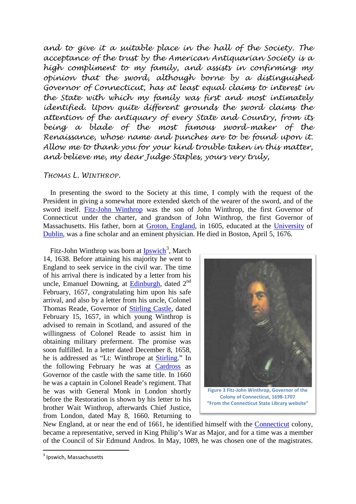*and to give it a suitable place in the hall of the Society. The acceptance of the trust by the American Antiquarian Society is a high compliment to my family, and assists in confirming my opinion that the sword, although borne by a distinguished Governor of Connecticut, has at least equal claims to interest in the State with which my family was first and most intimately identified. Upon quite different grounds the sword claims the attention of the antiquary of every State and Country, from its being a blade of the most famous sword-maker of the Renaissance, whose name and punches are to be found upon it. Allow me to thank you for your kind trouble taken in this matter, and believe me, my dear Judge Staples, yours very truly,*

### *THOMAS L. WINTHROP.*

In presenting the sword to the Society at this time, I comply with the request of the President in giving a somewhat more extended sketch of the wearer of the sword, and of the sword itself. [Fitz-John Winthrop](http://www.archive.org/details/sketchoflifeofjo00wate) was the son of John Winthrop, the first Governor of Connecticut under the charter, and grandson of John Winthrop, the first Governor of Massachusetts. His father, born at [Groton, England,](http://maps.google.com/maps?f=q&source=s_q&hl=en&geocode=&q=Groton,+England&sll=28.635308,77.22496&sspn=1.107673,0.700378&ie=UTF8&hq=&hnear=Groton,+Sudbury,+Suffolk,+United+Kingdom&t=h&z=13) in 1605, educated at the [University](http://maps.google.com/maps?f=q&source=s_q&hl=en&geocode=&q=Trinity+College+Dublin&sll=53.344518,-6.256993&sspn=0.005726,0.008733&ie=UTF8&hq=Trinity+College&hnear=Trinity+College,+Ireland&ll=53.344806,-6.257551&spn=0.005726,0.008733&t=h&z=17) of [Dublin,](http://maps.google.com/maps?f=q&source=s_q&hl=en&geocode=&q=Dublin&sll=52.03821,0.856069&sspn=0.097042,0.087547&ie=UTF8&hq=&hnear=Dublin,+County+Dublin+City,+Ireland&t=h&z=11) was a fine scholar and an eminent physician. He died in Boston, April 5, 1676.

Fitz-John Winthrop was born at **[Ipswich](http://maps.google.com/maps?f=q&source=s_q&hl=en&geocode=&q=Ipswich,+USA&sll=42.358431,-71.059773&sspn=0.382064,0.54451&gl=us&ie=UTF8&hq=&hnear=Ipswich,+Essex,+Massachusetts&t=h&z=14)**<sup>[3](#page-4-0)</sup>, March 14, 1638. Before attaining his majority he went to England to seek service in the civil war. The time of his arrival there is indicated by a letter from his uncle, Emanuel Downing, at **Edinburgh**, dated 2<sup>nd</sup> February, 1657, congratulating him upon his safe arrival, and also by a letter from his uncle, Colonel Thomas Reade, Governor of [Stirling Castle,](http://maps.google.com/maps?f=q&source=s_q&hl=en&geocode=&q=Stirling+Castle&sll=42.67926,-70.841161&sspn=0.047514,0.068064&gl=us&g=Ipswich,+USA&ie=UTF8&hq=Stirling+Castle&hnear=Stirling+Castle,+Ballengeich+Pass,+Stirling,+FK8+1,+UK&ll=56.123764,-3.945723&s) dated February 15, 1657, in which young Winthrop is advised to remain in Scotland, and assured of the willingness of Colonel Reade to assist him in obtaining military preferment. The promise was soon fulfilled. In a letter dated December 8, 1658, he is addressed as "Lt: Winthrope at [Stirling.](http://maps.google.com/maps?f=q&source=s_q&hl=en&geocode=&q=Stirling,Scotland&sll=55.883014,-4.600525&sspn=0.707865,1.117859&ie=UTF8&hq=&hnear=Stirling,+United+Kingdom&t=h&z=9)" In the following February he was at [Cardross](http://maps.google.com/maps?f=q&source=s_q&hl=en&geocode=&q=Cardross,Scotland&sll=55.960732,-4.64035&sspn=0.706447,1.117859&ie=UTF8&hq=&hnear=Cardross,+Dumbarton,+United+Kingdom&ll=55.883014,-4.600525&spn=0.707865,1.117859&t=h&z=10) as Governor of the castle with the same title. In 1660 he was a captain in Colonel Reade's regiment. That he was with General Monk in London shortly before the Restoration is shown by his letter to his brother Wait Winthrop, afterwards Chief Justice, from London, dated May 8, 1660. Returning to



**the Colony of Connecticut, 1698-1707 ["From the Connecticut State Library website"](http://ctstatelibrary.org/wp-content/uploads/2015/05/Fitz-John-Winthrop.pdf)**

New England, at or near the end of 1661, he identified himself with the [Connecticut](http://maps.google.com/maps?f=q&source=s_q&hl=en&geocode=&q=Connecticut+&sll=56.119424,-3.935882&sspn=1.40711,2.235718&ie=UTF8&hq=&hnear=Connecticut&t=h&z=9) colony, became a representative, served in King Philip's War as Major, and for a time was a member of the Council of Sir Edmund Andros. In May, 1089, he was chosen one of the magistrates.

<span id="page-4-0"></span> <sup>3</sup> Ipswich, Massachusetts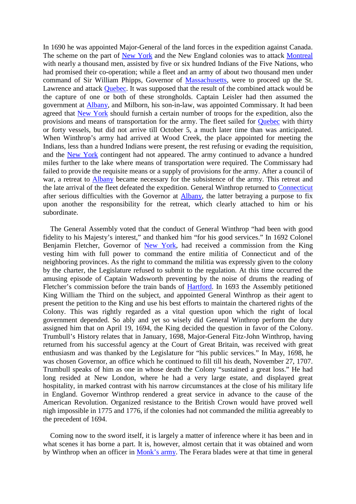In 1690 he was appointed Major-General of the land forces in the expedition against Canada. The scheme on the part of [New York](http://maps.google.com/maps?f=q&source=s_q&hl=en&geocode=&q=New+York&sll=42.652579,-73.756232&sspn=0.190136,0.272255&gl=us&ie=UTF8&hq=&hnear=New+York&t=h&z=11) and the New England colonies was to attack [Montreal](http://maps.google.com/maps?f=q&source=s_q&hl=en&geocode=&q=Montreal+,Canada&sll=55.950176,-3.187536&sspn=0.353318,0.558929&g=Edinburgh,Scotland&ie=UTF8&hq=&hnear=Montreal,+Communaut%C3%A9-Urbaine-de-Montr%C3%A9al,+Quebec,+Canada&ll=45.536175,-73.605652&sp) with nearly a thousand men, assisted by five or six hundred Indians of the Five Nations, who had promised their co-operation; while a fleet and an army of about two thousand men under command of Sir William Phipps, Governor of [Massachusetts,](http://maps.google.com/maps?f=q&source=s_q&hl=en&geocode=&q=State+of+Massachusetts,USA&sll=39.239699,-81.67717&sspn=0.23772,0.279465&ie=UTF8&hq=&hnear=Massachusetts&ll=41.689322,-71.806641&spn=15.068051,17.885742&t=h&z=6) were to proceed up the St. Lawrence and attack **Quebec**. It was supposed that the result of the combined attack would be the capture of one or both of these strongholds. Captain Leisler had then assumed the government at [Albany,](http://maps.google.com/maps?f=q&source=s_q&hl=en&geocode=&q=Albany&sll=42.783433,-73.719978&sspn=0.094868,0.136127&gl=us&ie=UTF8&hq=&hnear=Albany,+New+York&t=h&z=12) and Milborn, his son-in-law, was appointed Commissary. It had been agreed that [New York](http://maps.google.com/maps?f=q&source=s_q&hl=en&geocode=&q=New+York&sll=42.652579,-73.756232&sspn=0.190136,0.272255&gl=us&ie=UTF8&hq=&hnear=New+York&t=h&z=11) should furnish a certain number of troops for the expedition, also the provisions and means of transportation for the army. The fleet sailed for [Quebec](http://maps.google.com/maps?f=q&source=s_q&hl=en&geocode=&q=Quebec&sll=56.123764,-3.945723&sspn=0.008707,0.017016&gl=us&ie=UTF8&hq=&hnear=Quebec,+Canada&ll=52.589701,-73.564453&spn=20.166833,34.848633&t=h&z=5) with thirty or forty vessels, but did not arrive till October 5, a much later time than was anticipated. When Winthrop's army had arrived at Wood Creek, the place appointed for meeting the Indians, less than a hundred Indians were present, the rest refusing or evading the requisition, and the [New York](http://maps.google.com/maps?f=q&source=s_q&hl=en&geocode=&q=New+York&sll=42.652579,-73.756232&sspn=0.190136,0.272255&gl=us&ie=UTF8&hq=&hnear=New+York&t=h&z=11) contingent had not appeared. The army continued to advance a hundred miles further to the lake where means of transportation were required. The Commissary had failed to provide the requisite means or a supply of provisions for the army. After a council of war, a retreat to [Albany](http://maps.google.com/maps?f=q&source=s_q&hl=en&geocode=&q=Albany&sll=42.783433,-73.719978&sspn=0.094868,0.136127&gl=us&ie=UTF8&hq=&hnear=Albany,+New+York&t=h&z=12) became necessary for the subsistence of the army. This retreat and the late arrival of the fleet defeated the expedition. General Winthrop returned to [Connecticut](http://maps.google.com/maps?f=q&source=s_q&hl=en&geocode=&q=Connecticut+&sll=56.119424,-3.935882&sspn=1.40711,2.235718&ie=UTF8&hq=&hnear=Connecticut&t=h&z=9) after serious difficulties with the Governor at [Albany,](http://maps.google.com/maps?f=q&source=s_q&hl=en&geocode=&q=Albany&sll=42.783433,-73.719978&sspn=0.094868,0.136127&gl=us&ie=UTF8&hq=&hnear=Albany,+New+York&t=h&z=12) the latter betraying a purpose to fix upon another the responsibility for the retreat, which clearly attached to him or his subordinate.

The General Assembly voted that the conduct of General Winthrop "had been with good fidelity to his Majesty's interest," and thanked him "for his good services." In 1692 Colonel Benjamin Fletcher, Governor of [New York,](http://maps.google.com/maps?f=q&source=s_q&hl=en&geocode=&q=New+York&sll=42.652579,-73.756232&sspn=0.190136,0.272255&gl=us&ie=UTF8&hq=&hnear=New+York&t=h&z=11) had received a commission from the King vesting him with full power to command the entire militia of Connecticut and of the neighboring provinces. As the right to command the militia was expressly given to the colony by the charter, the Legislature refused to submit to the regulation. At this time occurred the amusing episode of Captain Wadsworth preventing by the noise of drums the reading of Fletcher's commission before the train bands of [Hartford.](http://maps.google.com/maps?f=q&source=s_q&hl=en&geocode=&q=Hartford&sll=40.714269,-74.005973&sspn=0.391902,0.54451&gl=us&ie=UTF8&hq=&hnear=Hartford,+Connecticut&t=h&z=13) In 1693 the Assembly petitioned King William the Third on the subject, and appointed General Winthrop as their agent to present the petition to the King and use his best efforts to maintain the chartered rights of the Colony. This was rightly regarded as a vital question upon which the right of local government depended. So ably and yet so wisely did General Winthrop perform the duty assigned him that on April 19, 1694, the King decided the question in favor of the Colony. Trumbull's History relates that in January, 1698, Major-General Fitz-John Winthrop, having returned from his successful agency at the Court of Great Britain, was received with great enthusiasm and was thanked by the Legislature for "his public services." In May, 1698, he was chosen Governor, an office which he continued to fill till his death, November 27, 1707. Trumbull speaks of him as one in whose death the Colony "sustained a great loss." He had long resided at New London, where he had a very large estate, and displayed great hospitality, in marked contrast with his narrow circumstances at the close of his military life in England. Governor Winthrop rendered a great service in advance to the cause of the American Revolution. Organized resistance to the British Crown would have proved well nigh impossible in 1775 and 1776, if the colonies had not commanded the militia agreeably to the precedent of 1694.

Coming now to the sword itself, it is largely a matter of inference where it has been and in what scenes it has borne a part. It is, however, almost certain that it was obtained and worn by Winthrop when an officer in [Monk's army.](http://books.google.com/books?id=NZgQAAAAYAAJ&lpg=PA1100&ots=71ZP-8j1C2&dq=%22Monk%E2%80%99s%20army%22&pg=PA1100#v=onepage&q=%22Monk%E2%80%99s%20army%22&f=false) The Ferara blades were at that time in general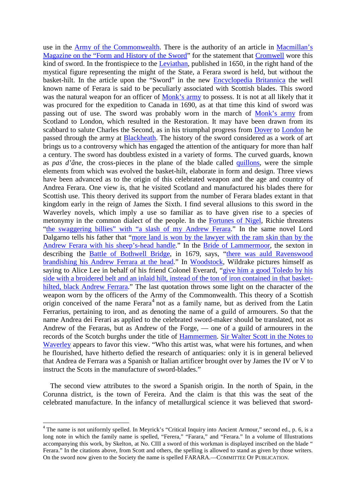use in the [Army of the Commonwealth.](http://www.archive.org/details/cromwellsarmyhis00firtuoft) There is the authority of an article in [Macmillan's](http://books.google.com/books?id=DmwJAAAAQAAJ&dq=Macmillan%20Magazine%20on%20the%20Form%20History%20Sword&client=firefox-a&pg=PA195#v=onepage&q=&f=false)  [Magazine on the "Form and History of the Sword"](http://books.google.com/books?id=DmwJAAAAQAAJ&dq=Macmillan%20Magazine%20on%20the%20Form%20History%20Sword&client=firefox-a&pg=PA195#v=onepage&q=&f=false) for the statement that [Cromwell](http://en.wikipedia.org/wiki/Oliver_Cromwell) wore this kind of sword. In the frontispiece to the [Leviathan,](http://books.google.com/books?id=2oc6AAAAMAAJ&dq=Leviathan%20by%20Thomas%20Hobbes&client=firefox-a&pg=PR11#v=onepage&q=&f=false) published in 1650, in the right hand of the mystical figure representing the might of the State, a Ferara sword is held, but without the basket-hilt. In the article upon the "Sword" in the new [Encyclopedia Britannica](http://books.google.com/books?id=wqwMAAAAYAAJ&dq=Encyclopedia%20Britannica%20sword%20Ferrara&client=firefox-a&pg=PA703) the well known name of Ferara is said to be peculiarly associated with Scottish blades. This sword was the natural weapon for an officer of [Monk's army](http://books.google.com/books?id=ib4uAAAAMAAJ&dq=General%20%22Monk%E2%80%99s%20army%22&pg=PA53#v=onepage&q=General%20%22Monk%E2%80%99s%20army%22&f=false) to possess. It is not at all likely that it was procured for the expedition to Canada in 1690, as at that time this kind of sword was passing out of use. The sword was probably worn in the march of [Monk's army](http://books.google.com/books?id=NZgQAAAAYAAJ&lpg=PA1100&ots=71ZP-8j1C2&dq=%22Monk%E2%80%99s%20army%22&pg=PA1100#v=onepage&q=%22Monk%E2%80%99s%20army%22&f=false) from Scotland to London, which resulted in the Restoration. It may have been drawn from its scabbard to salute Charles the Second, as in his triumphal progress from [Dover](http://maps.google.com/maps?f=q&source=s_q&hl=en&geocode=&q=Dover+,UK&sll=51.456879,-0.015964&sspn=0.098299,0.139732&ie=UTF8&hq=&hnear=Dover,+Kent,+United+Kingdom&t=h&z=12) to [London](http://maps.google.com/maps?f=q&source=s_q&hl=en&geocode=&q=London,UK&sll=51.129705,1.311137&sspn=0.198004,0.279465&ie=UTF8&hq=&hnear=London,+United+Kingdom&t=h&z=14) he passed through the army at [Blackheath.](http://maps.google.com/maps?f=q&source=s_q&hl=en&geocode=&q=Blackheath,UK&sll=37.0625,-95.677068&sspn=62.74193,71.542969&ie=UTF8&hq=&hnear=Lewisham,+Greater+London,+United+Kingdom&t=h&z=13) The history of the sword considered as a work of art brings us to a controversy which has engaged the attention of the antiquary for more than half a century. The sword has doubtless existed in a variety of forms. The curved guards, known as *pas d'âne,* the cross-pieces in the plane of the blade called [quillons,](http://en.wikipedia.org/wiki/Hilt) were the simple elements from which was evolved the basket-hilt, elaborate in form and design. Three views have been advanced as to the origin of this celebrated weapon and the age and country of Andrea Ferara. One view is, that he visited Scotland and manufactured his blades there for Scottish use. This theory derived its support from the number of Ferara blades extant in that kingdom early in the reign of James the Sixth. I find several allusions to this sword in the Waverley novels, which imply a use so familiar as to have given rise to a species of metonymy in the common dialect of the people. In the [Fortunes of Nigel,](http://books.google.com/books?id=lEF4qWBfBUEC&dq=%22Fortunes+of+Nigel%22&printsec=frontcover&source=bl&ots=UhM3SLv6dq&sig=fFtAsjF03y4Zl9xs8-_Rn4GIDoQ&hl=en&ei=2q0TS7jMGYKutQPNkKDrDA&sa=X&oi=book_result&ct=result&resnum=5&ved=0CBsQ6AEwBA#v=onepage&q=&f=fals) Richie threatens "the swaggering billies" [with "a slash of my Andrew Ferara.](http://books.google.com/books?id=lEF4qWBfBUEC&ots=UhM3SLv6dq&dq=%22Fortunes%20of%20Nigel%22&pg=PA60)" In the same novel Lord Dalgarno tells his father that ["more land is won by the lawyer with the ram skin than by the](http://books.google.com/books?id=lEF4qWBfBUEC&ots=UhM3SLv6dq&dq=%22Fortunes%20of%20Nigel%22&pg=PA460)  [Andrew Ferara with his sheep's-head handle.](http://books.google.com/books?id=lEF4qWBfBUEC&ots=UhM3SLv6dq&dq=%22Fortunes%20of%20Nigel%22&pg=PA460)" In the [Bride of Lammermoor,](https://books.google.com/books?id=WjJaXMQzGLAC&printsec=frontcover&source=gbs_ge_summary_r&cad=0#v=onepage&q&f=false) the sexton in describing the [Battle of Bothwell Bridge,](http://en.wikipedia.org/wiki/Battle_of_Bothwell_Bridge) in 1679, says, "there was auld Ravenswood [brandishing his Andrew Ferrara at the head.](https://books.google.com/books?id=WjJaXMQzGLAC&printsec=frontcover&source=gbs_ge_summary_r&cad=0#v=onepage&q=Andrew%20Ferrara&f=false)" In [Woodstock,](https://books.google.com/books?id=3sSXLn8JM6sC&printsec=frontcover&source=gbs_ge_summary_r&cad=0#v=onepage&q&f=false) Wildrake pictures himself as saying to Alice Lee in behalf of his friend Colonel Everard, ["give him a good Toledo by his](https://books.google.com/books?id=3sSXLn8JM6sC&printsec=frontcover&source=gbs_ge_summary_r&cad=0#v=onepage&q=Andrew%20Ferrara&f=false)  [side with a broidered belt and an inlaid hilt, instead of the ton of iron contained in that basket](https://books.google.com/books?id=3sSXLn8JM6sC&printsec=frontcover&source=gbs_ge_summary_r&cad=0#v=onepage&q=Andrew%20Ferrara&f=false)[hilted, black Andrew Ferrara.](https://books.google.com/books?id=3sSXLn8JM6sC&printsec=frontcover&source=gbs_ge_summary_r&cad=0#v=onepage&q=Andrew%20Ferrara&f=false)" The last quotation throws some light on the character of the weapon worn by the officers of the Army of the Commonwealth. This theory of a Scottish origin conceived of the name  $Ferara<sup>4</sup>$  $Ferara<sup>4</sup>$  $Ferara<sup>4</sup>$  not as a family name, but as derived from the Latin Ferrarius, pertaining to iron, and as denoting the name of a guild of armourers. So that the name Andrea dei Ferari as applied to the celebrated sword-maker should be translated, not as Andrew of the Feraras, but as Andrew of the Forge, — one of a guild of armourers in the records of the Scotch burghs under the title of [Hammermen.](http://www.tradeshouse.org.uk/14-incorporated-crafts/hammermen.aspx) [Sir Walter Scott in the Notes to](http://books.google.com/books?id=skpAAAAAYAAJ&dq=Sir%20Walter%20Scott%20in%20the%20Notes%20to%20Waverley&pg=RA2-PA629#v=onepage&q=&f=false)  [Waverley](http://books.google.com/books?id=skpAAAAAYAAJ&dq=Sir%20Walter%20Scott%20in%20the%20Notes%20to%20Waverley&pg=RA2-PA629#v=onepage&q=&f=false) appears to favor this view. "Who this artist was, what were his fortunes, and when he flourished, have hitherto defied the research of antiquaries: only it is in general believed that Andrea de Ferrara was a Spanish or Italian artificer brought over by James the IV or V to instruct the Scots in the manufacture of sword-blades."

The second view attributes to the sword a Spanish origin. In the north of Spain, in the Corunna district, is the town of Fereira. And the claim is that this was the seat of the celebrated manufacture. In the infancy of metallurgical science it was believed that sword-

<span id="page-6-0"></span><sup>&</sup>lt;sup>4</sup> The name is not uniformly spelled. In Meyrick's "Critical Inquiry into Ancient Armour," second ed., p. 6, is a long note in which the family name is spelled, "Ferera," "Farara," and "Ferara." In a volume of Illustrations accompanying this work, by Skelton, at No. CIII a sword of this workman is displayed inscribed on the blade " Ferara." In the citations above, from Scott and others, the spelling is allowed to stand as given by those writers. On the sword now given to the Society the name is spelled FARARA.—COMMITTEE OF PUBLICATION.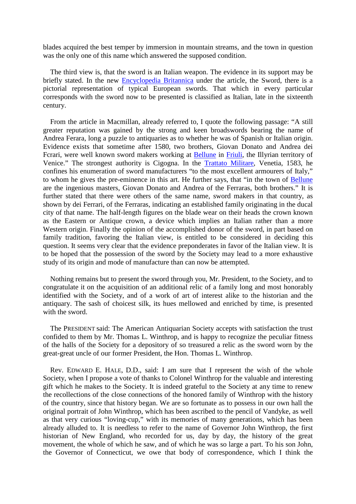blades acquired the best temper by immersion in mountain streams, and the town in question was the only one of this name which answered the supposed condition.

The third view is, that the sword is an Italian weapon. The evidence in its support may be briefly stated. In the new [Encyclopedia Britannica](http://books.google.com/books?id=wqwMAAAAYAAJ&dq=Encyclopedia%20Britannica%20sword%20Ferrara&client=firefox-a&pg=PA703) under the article, the Sword, there is a pictorial representation of typical European swords. That which in every particular corresponds with the sword now to be presented is classified as Italian, late in the sixteenth century.

From the article in Macmillan, already referred to, I quote the following passage: "A still greater reputation was gained by the strong and keen broadswords bearing the name of Andrea Ferara, long a puzzle to antiquaries as to whether he was of Spanish or Italian origin. Evidence exists that sometime after 1580, two brothers, Giovan Donato and Andrea dei Fcrari, were well known sword makers working at [Bellune](http://maps.google.com/maps?f=q&source=s_q&hl=en&geocode=&q=Belluno,Italy&sll=43.1521,-2.675171&sspn=0.634179,1.08902&gl=us&ie=UTF8&hq=&hnear=Belluno,+Veneto,+Italy&t=h&z=12) in [Friuli,](http://maps.google.com/maps?f=q&source=s_q&hl=en&geocode=&q=Friuli,+Italy&sll=46.165625,13.000002&sspn=0.036142,0.068064&gl=us&ie=UTF8&hq=Friuli&hnear=Friuli,+33038+San+Daniele+del+Friuli+UD,+Italy&ll=46.166695,13.000002&spn=0.036141,0.068064&t=h&z=14) the Illyrian territory of Venice." The strongest authority is Cigogna. In the [Trattato Militare,](http://books.google.com/books?id=5L_t4eYe0xIC&lpg=PT135&ots=5p0NYwS_kP&dq=GIOVAN%20CIGOGNA.%20Trattato%20Militare&pg=PT138#v=onepage&q=&f=false) Venetia, 1583, he confines his enumeration of sword manufacturers "to the most excellent armourers of Italy," to whom he gives the pre-eminence in this art. He further says, that "in the town of [Bellune](http://maps.google.com/maps?f=q&source=s_q&hl=en&geocode=&q=Belluno,Italy&sll=43.1521,-2.675171&sspn=0.634179,1.08902&gl=us&ie=UTF8&hq=&hnear=Belluno,+Veneto,+Italy&t=h&z=12) are the ingenious masters, Giovan Donato and Andrea of the Ferraras, both brothers." It is further stated that there were others of the same name, sword makers in that country, as shown by dei Ferrari, of the Ferraras, indicating an established family originating in the ducal city of that name. The half-length figures on the blade wear on their heads the crown known as the Eastern or Antique crown, a device which implies an Italian rather than a more Western origin. Finally the opinion of the accomplished donor of the sword, in part based on family tradition, favoring the Italian view, is entitled to be considered in deciding this question. It seems very clear that the evidence preponderates in favor of the Italian view. It is to be hoped that the possession of the sword by the Society may lead to a more exhaustive study of its origin and mode of manufacture than can now be attempted.

Nothing remains but to present the sword through you, Mr. President, to the Society, and to congratulate it on the acquisition of an additional relic of a family long and most honorably identified with the Society, and of a work of art of interest alike to the historian and the antiquary. The sash of choicest silk, its hues mellowed and enriched by time, is presented with the sword.

The PRESIDENT said: The American Antiquarian Society accepts with satisfaction the trust confided to them by Mr. Thomas L. Winthrop, and is happy to recognize the peculiar fitness of the halls of the Society for a depository of so treasured a relic as the sword worn by the great-great uncle of our former President, the Hon. Thomas L. Winthrop.

Rev. EDWARD E. HALE, D.D., said: I am sure that I represent the wish of the whole Society, when I propose a vote of thanks to Colonel Winthrop for the valuable and interesting gift which he makes to the Society. It is indeed grateful to the Society at any time to renew the recollections of the close connections of the honored family of Winthrop with the history of the country, since that history began. We are so fortunate as to possess in our own hall the original portrait of John Winthrop, which has been ascribed to the pencil of Vandyke, as well as that very curious "loving-cup," with its memories of many generations, which has been already alluded to. It is needless to refer to the name of Governor John Winthrop, the first historian of New England, who recorded for us, day by day, the history of the great movement, the whole of which he saw, and of which he was so large a part. To his son John, the Governor of Connecticut, we owe that body of correspondence, which I think the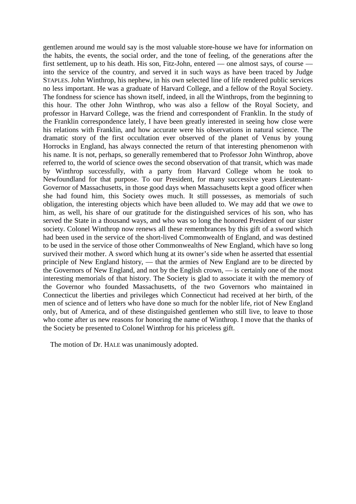gentlemen around me would say is the most valuable store-house we have for information on the habits, the events, the social order, and the tone of feeling, of the generations after the first settlement, up to his death. His son, Fitz-John, entered — one almost says, of course into the service of the country, and served it in such ways as have been traced by Judge STAPLES. John Winthrop, his nephew, in his own selected line of life rendered public services no less important. He was a graduate of Harvard College, and a fellow of the Royal Society. The fondness for science has shown itself, indeed, in all the Winthrops, from the beginning to this hour. The other John Winthrop, who was also a fellow of the Royal Society, and professor in Harvard College, was the friend and correspondent of Franklin. In the study of the Franklin correspondence lately, I have been greatly interested in seeing how close were his relations with Franklin, and how accurate were his observations in natural science. The dramatic story of the first occultation ever observed of the planet of Venus by young Horrocks in England, has always connected the return of that interesting phenomenon with his name. It is not, perhaps, so generally remembered that to Professor John Winthrop, above referred to, the world of science owes the second observation of that transit, which was made by Winthrop successfully, with a party from Harvard College whom he took to Newfoundland for that purpose. To our President, for many successive years Lieutenant-Governor of Massachusetts, in those good days when Massachusetts kept a good officer when she had found him, this Society owes much. It still possesses, as memorials of such obligation, the interesting objects which have been alluded to. We may add that we owe to him, as well, his share of our gratitude for the distinguished services of his son, who has served the State in a thousand ways, and who was so long the honored President of our sister society. Colonel Winthrop now renews all these remembrances by this gift of a sword which had been used in the service of the short-lived Commonwealth of England, and was destined to be used in the service of those other Commonwealths of New England, which have so long survived their mother. A sword which hung at its owner's side when he asserted that essential principle of New England history, — that the armies of New England are to be directed by the Governors of New England, and not by the English crown, — is certainly one of the most interesting memorials of that history. The Society is glad to associate it with the memory of the Governor who founded Massachusetts, of the two Governors who maintained in Connecticut the liberties and privileges which Connecticut had received at her birth, of the men of science and of letters who have done so much for the nobler life, riot of New England only, but of America, and of these distinguished gentlemen who still live, to leave to those who come after us new reasons for honoring the name of Winthrop. I move that the thanks of the Society be presented to Colonel Winthrop for his priceless gift.

The motion of Dr. HALE was unanimously adopted.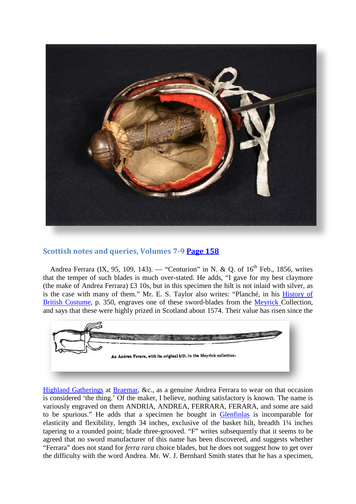

# **Scottish notes and queries, Volumes 7-9 [Page 158](http://books.google.com/books?id=UkADAAAAYAAJ&dq=Andrew%20Ferrara&lr=&client=firefox-a&pg=RA2-PA158#v=onepage&q=Andrew%20Ferrara&f=false)**

Andrea Ferrara (IX, 95, 109, 143). — "Centurion" in N. & Q. of  $16<sup>th</sup>$  Feb., 1856, writes that the temper of such blades is much over-stated. He adds, "I gave for my best claymore (the make of Andrea Ferrara) £3 10s, but in this specimen the hilt is not inlaid with silver, as is the case with many of them." Mr. E. S. Taylor also writes: "Planché, in his [History of](http://books.google.com/books?id=ovI9AAAAcAAJ&dq=Planch%C3%A9%2C%20in%20his%20History%20of%20British%20Costume&pg=RA1-PA350)  [British Costume,](http://books.google.com/books?id=ovI9AAAAcAAJ&dq=Planch%C3%A9%2C%20in%20his%20History%20of%20British%20Costume&pg=RA1-PA350) p. 350, engraves one of these sword-blades from the [Meyrick C](http://books.google.com/books?id=UyUJAAAAIAAJ&dq=Meyrick%20Collection&lr=&pg=PA322)ollection, [and says that these were highly prized in Scotland about 1574. Their value has risen since th](http://books.google.com/books?id=UkADAAAAYAAJ&dq=Andrew Ferrara&lr=&client=firefox-a&pg=RA2-PA158#v=onepage&q=Andrew%20Ferrara&f=false)e



[Highland Gatherings](http://www.braemargathering.org/) at [Braemar,](http://maps.google.com/maps?f=q&source=s_q&hl=en&geocode=&q=Braemar,+UK&sll=55.950176,-3.187536&sspn=0.243362,0.54451&gl=us&ie=UTF8&hq=&hnear=Braemar,+Ballater,+Aberdeenshire,+United+Kingdom&t=h&z=15) &c., as a genuine Andrea Ferrara to wear on that occasion is considered 'the thing.' Of the maker, I believe, nothing satisfactory is known. The name is variously engraved on them ANDRIA, ANDREA, FERRARA, FERARA, and some are said to be spurious." He adds that a specimen he bought in [Glenfinlas](http://streetmap.co.uk/map.srf?x=254777&y=709531&z=126&sv=254777,709531&st=4&ar=y&mapp=map.srf&searchp=ids.srf&dn=573&ax=254777&ay=709531&lm=0) is incomparable for elasticity and flexibility, length 34 inches, exclusive of the basket hilt, breadth 1¼ inches tapering to a rounded point; blade three-grooved. "F" writes subsequently that it seems to be agreed that no sword manufacturer of this name has been discovered, and suggests whether "Ferrara" does not stand for *ferra rara* choice blades, but he does not suggest how to get over the difficulty with the word Andrea. Mr. W. J. Bernhard Smith states that he has a specimen,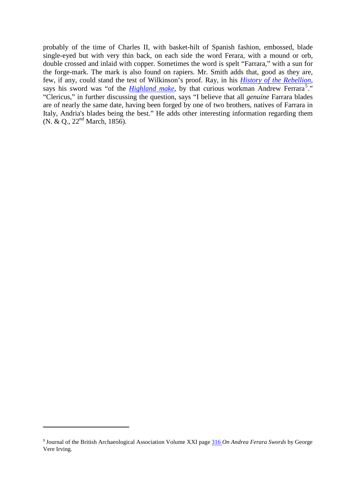probably of the time of Charles II, with basket-hilt of Spanish fashion, embossed, blade single-eyed but with very thin back, on each side the word Ferara, with a mound or orb, double crossed and inlaid with copper. Sometimes the word is spelt "Farrara," with a sun for the forge-mark. The mark is also found on rapiers. Mr. Smith adds that, good as they are, few, if any, could stand the test of Wilkinson's proof. Ray, in his *[History of the Rebellion](http://books.google.com/books?id=ppABAAAAQAAJ)*, says his sword was "of the *[Highland make](http://books.google.com/books?id=ppABAAAAQAAJ&dq=History%20of%20the%20Rebellion%20Ray&pg=RA1-PA152)*, by that curious workman Andrew Ferrara<sup>[5](#page-10-0)</sup>." "Clericus," in further discussing the question, says "I believe that all *genuine* Farrara blades are of nearly the same date, having been forged by one of two brothers, natives of Farrara in Italy, Andria's blades being the best." He adds other interesting information regarding them (N. & Q., 22nd March, 1856).

 $\overline{a}$ 

<span id="page-10-0"></span>**<sup>5</sup>** Journal of the British Archaeological Association Volume XXI page [316](http://books.google.com/books?id=PiUUAAAAYAAJ&dq=andrea%20ferara%20swords&pg=PA316#v=onepage&q=&f=false) *On Andrea Ferara Swords* by George Vere Irving.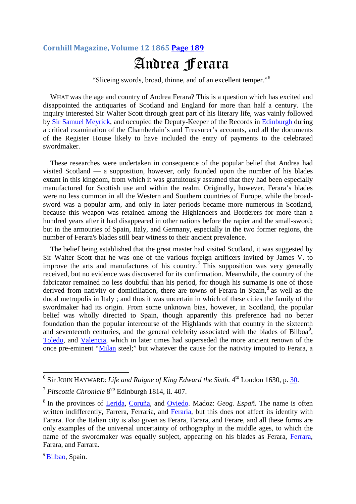# **Cornhill Magazine, Volume 12 1865 [Page 189](http://books.google.com/books?id=931HAAAAYAAJ&lr=&pg=PA189)** Andrea Ferara

"Sliceing swords, broad, thinne, and of an excellent temper."[6](#page-11-0)

WHAT was the age and country of Andrea Ferara? This is a question which has excited and disappointed the antiquaries of Scotland and England for more than half a century. The inquiry interested Sir Walter Scott through great part of his literary life, was vainly followed by [Sir Samuel Meyrick,](http://en.wikipedia.org/wiki/Samuel_Rush_Meyrick) and occupied the Deputy-Keeper of the Records in [Edinburgh](http://maps.google.com/maps?f=q&source=s_q&hl=en&geocode=&q=Edinburgh,+UK&sll=39.470239,-0.376805&sspn=0.335527,0.54451&gl=us&ie=UTF8&hq=&hnear=Edinburgh,+United+Kingdom&t=h&z=11) during a critical examination of the Chamberlain's and Treasurer's accounts, and all the documents of the Register House likely to have included the entry of payments to the celebrated swordmaker.

These researches were undertaken in consequence of the popular belief that Andrea had visited Scotland — a supposition, however, only founded upon the number of his blades extant in this kingdom, from which it was gratuitously assumed that they had been especially manufactured for Scottish use and within the realm. Originally, however, Ferara's blades were no less common in all the Western and Southern countries of Europe, while the broadsword was a popular arm, and only in later periods became more numerous in Scotland, because this weapon was retained among the Highlanders and Borderers for more than a hundred years after it had disappeared in other nations before the rapier and the small-sword: but in the armouries of Spain, Italy, and Germany, especially in the two former regions, the number of Ferara's blades still bear witness to their ancient prevalence.

The belief being established that the great master had visited Scotland, it was suggested by Sir Walter Scott that he was one of the various foreign artificers invited by James V. to improve the arts and manufactures of his country.<sup>[7](#page-11-1)</sup> This supposition was very generally received, but no evidence was discovered for its confirmation. Meanwhile, the country of the fabricator remained no less doubtful than his period, for though his surname is one of those derived from nativity or domiciliation, there are towns of Ferara in Spain,<sup>[8](#page-11-2)</sup> as well as the ducal metropolis in Italy ; and thus it was uncertain in which of these cities the family of the swordmaker had its origin. From some unknown bias, however, in Scotland, the popular belief was wholly directed to Spain, though apparently this preference had no better foundation than the popular intercourse of the Highlands with that country in the sixteenth and seventeenth centuries, and the general celebrity associated with the blades of Bilboa<sup>[9](#page-11-3)</sup>, [Toledo,](http://maps.google.com/maps?f=q&source=s_q&hl=en&geocode=&q=Toledo,+Spain&sll=43.360259,-5.844758&sspn=0.158004,0.272255&gl=us&ie=UTF8&hq=&hnear=Toledo,+Castille+La+Mancha,+Spain&t=h&z=12) and [Valencia,](http://maps.google.com/maps?f=q&source=s_q&hl=en&geocode=&q=Valencia,+Spain&sll=39.856778,-4.024476&sspn=0.166828,0.272255&gl=us&ie=UTF8&hq=&hnear=Valencia,+Spain&t=h&z=11) which in later times had superseded the more ancient renown of the once pre-eminent ["Milan](http://maps.google.com/maps?f=q&source=s_q&hl=en&geocode=&q=Milan&sll=43.360259,-5.844758&sspn=0.158004,0.272255&gl=us&ie=UTF8&hq=&hnear=Milan,+Lombardy,+Italy&t=h&z=12) steel;" but whatever the cause for the nativity imputed to Ferara, a

<span id="page-11-0"></span><sup>6</sup> Sir JOHN HAYWARD: *Life and Raigne of King Edward the Sixth.* 4to London 1630, p. [30.](http://www.archive.org/stream/completehistoryo02kenn#page/284/mode/1up)

<span id="page-11-1"></span><sup>7</sup> *Pitscottie Chronicle* 8vo Edinburgh 1814, ii. 407.

<span id="page-11-2"></span><sup>8</sup> In the provinces of [Lerida,](http://maps.google.com/maps?f=q&source=s_q&hl=en&geocode=&q=Lerida,+Spain&sll=43.371491,-8.39597&sspn=0.078988,0.136127&gl=us&ie=UTF8&hq=&hnear=Lerida,+Catalonia,+Spain&t=h&z=11) [Coruña,](http://maps.google.com/maps?f=q&source=s_q&hl=en&geocode=&q=Coru%C3%B1a,+Spain&sll=43.679791,-7.558594&sspn=2.514628,4.356079&gl=us&ie=UTF8&hq=&hnear=Corunna,+Galicia,+Spain&t=h&z=13) and [Oviedo.](http://maps.google.com/maps?f=q&source=s_q&hl=en&geocode=&q=Oviedo,+Spain&sll=41.614152,0.625782&sspn=0.324956,0.54451&gl=us&ie=UTF8&hq=&hnear=Oviedo,+Asturias,+Spain&t=h&z=12) Madoz: *Geog. Españ.* The name is often written indifferently, Farrera, Ferraria, and [Feraria,](http://maps.google.com/maps?f=q&source=s_q&hl=en&q=Ferrar%C3%ADa,+27744+Riotorto,+Lugo,+Galicia,+Spain&sll=44.601927,11.25279&sspn=1.23785,2.17804&gl=us&ie=UTF8&cd=1&geocode=FaiilQId5veQ_w&split=0&hq=&hnear=Ferrar%C3%ADa,+Riotorto,+Lugo,+Galicia,+Spain&ll=) but this does not affect its identity with Farara. For the Italian city is also given as Ferara, Farara, and Ferare, and all these forms are only examples of the universal uncertainty of orthography in the middle ages, to which the name of the swordmaker was equally subject, appearing on his blades as Ferara, [Ferrara,](http://maps.google.com/maps?f=q&source=s_q&hl=en&geocode=&q=Ferrara&sll=44.894796,11.67572&sspn=1.2316,2.17804&gl=us&ie=UTF8&hq=&hnear=Ferrara,+Emilia-Romagna,+Italy&t=h&z=11) Farara, and Farrara.

<span id="page-11-3"></span><sup>&</sup>lt;sup>9</sup> [Bilbao,](http://maps.google.com/maps?hl=en&q=Bilboa&um=1&ie=UTF-8&hq=&hnear=Bilbao,+Spain&gl=us&ei=DR4RS_uKLJG8NvvjzTM&sa=X&oi=geocode_result&ct=title&resnum=1&ved=0CAoQ8gEwAA) Spain.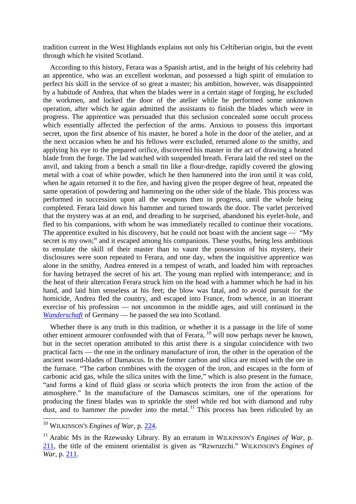tradition current in the West Highlands explains not only his Celtiberian origin, but the event through which he visited Scotland.

According to this history, Ferara was a Spanish artist, and in the height of his celebrity had an apprentice, who was an excellent workman, and possessed a high spirit of emulation to perfect his skill in the service of so great a master; his ambition, however, was disappointed by a habitude of Andrea, that when the blades were in a certain stage of forging, he excluded the workmen, and locked the door of the atelier while he performed some unknown operation, after which he again admitted the assistants to finish the blades which were in progress. The apprentice was persuaded that this seclusion concealed some occult process which essentially affected the perfection of the arms. Anxious to possess this important secret, upon the first absence of his master, he bored a hole in the door of the atelier, and at the next occasion when he and his fellows were excluded, returned alone to the smithy, and applying his eye to the prepared orifice, discovered his master in the act of drawing a heated blade from the forge. The lad watched with suspended breath. Ferara laid the red steel on the anvil, and taking from a bench a small tin like a flour-dredge, rapidly covered the glowing metal with a coat of white powder, which he then hammered into the iron until it was cold, when he again returned it to the fire, and having given the proper degree of heat, repeated the same operation of powdering and hammering on the other side of the blade. This process was performed in succession upon all the weapons then in progress, until the whole being completed. Ferara laid down his hammer and turned towards the door. The varlet perceived that the mystery was at an end, and dreading to be surprised, abandoned his eyelet-hole, and fled to his companions, with whom he was immediately recalled to continue their vocations. The apprentice exulted in his discovery, but he could not boast with the ancient sage — "My secret is my own;" and it escaped among his companions. These youths, being less ambitious to emulate the skill of their master than to vaunt the possession of his mystery, their disclosures were soon repeated to Ferara, and one day, when the inquisitive apprentice was alone in the smithy, Andrea entered in a tempest of wrath, and loaded him with reproaches for having betrayed the secret of his art. The young man replied with intemperance; and in the heat of their altercation Ferara struck him on the head with a hammer which he had in his hand, and laid him senseless at his feet; the blow was fatal, and to avoid pursuit for the homicide, Andrea fled the country, and escaped into France, from whence, in an itinerant exercise of his profession — not uncommon in the middle ages, and still continued in the *[Wanderschaft](http://maps.google.com/maps?f=q&source=s_q&hl=en&geocode=&q=Solingen,Germany&sll=48.686861,8.187281&sspn=18.379121,34.848633&gl=us&ie=UTF8&hq=&hnear=Solingen,+North+Rhine-Westphalia,+Germany&t=h&z=12)* of Germany — he passed the sea into Scotland.

Whether there is any truth in this tradition, or whether it is a passage in the life of some other eminent armourer confounded with that of Ferara, <sup>[10](#page-12-0)</sup> will now perhaps never be known, but in the secret operation attributed to this artist there is a singular coincidence with two practical facts — the one in the ordinary manufacture of iron, the other in the operation of the ancient sword-blades of Damascus. In the former carbon and silica are mixed with the ore in the furnace. "The carbon combines with the oxygen of the iron, and escapes in the form of carbonic acid gas, while the silica unites with the lime," which is also present in the furnace, "and forms a kind of fluid glass or scoria which protects the iron from the action of the atmosphere." In the manufacture of the Damascus scimitars, one of the operations for producing the finest blades was to sprinkle the steel while red hot with diamond and ruby dust, and to hammer the powder into the metal.<sup>[11](#page-12-1)</sup> This process has been ridiculed by an

<span id="page-12-0"></span><sup>10</sup> WILKINSON'S *Engines of War,* p. [224.](http://books.google.com/books?id=Z4djCQTWALQC&dq=WILKINSON)

<span id="page-12-1"></span><sup>&</sup>lt;sup>11</sup> Arabic Ms in the Rzewusky Library. By an erratum in WILKINSON's *Engines of War*, p. [211,](http://books.google.com/books?id=Z4djCQTWALQC&dq=WILKINSON) the title of the eminent orientalist is given as "Rzwruzchi." WILKINSON'S *Engines of War,* p. [211.](http://books.google.com/books?id=Z4djCQTWALQC&dq=WILKINSON)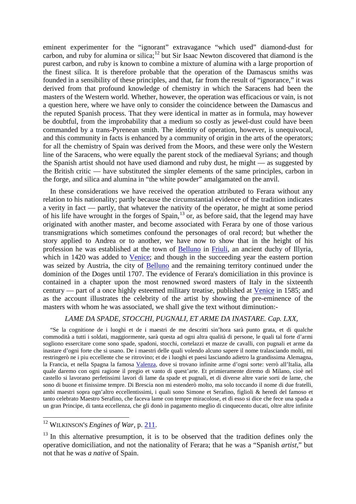eminent experimenter for the "ignorant" extravagance "which used" diamond-dust for carbon, and ruby for alumina or silica;<sup>[12](#page-13-0)</sup> but Sir Isaac Newton discovered that diamond is the purest carbon, and ruby is known to combine a mixture of alumina with a large proportion of the finest silica. It is therefore probable that the operation of the Damascus smiths was founded in a sensibility of these principles, and that, far from the result of "ignorance," it was derived from that profound knowledge of chemistry in which the Saracens had been the masters of the Western world. Whether, however, the operation was efficacious or vain, is not a question here, where we have only to consider the coincidence between the Damascus and the reputed Spanish process. That they were identical in matter as in formula, may however be doubtful, from the improbability that a medium so costly as jewel-dust could have been commanded by a trans-Pyrenean smith. The identity of operation, however, is unequivocal, and this community in facts is enhanced by a community of origin in the arts of the operators; for all the chemistry of Spain was derived from the Moors, and these were only the Western line of the Saracens, who were equally the parent stock of the mediaeval Syrians; and though the Spanish artist should not have used diamond and ruby dust, he might — as suggested by the British critic — have substituted the simpler elements of the same principles, carbon in the forge, and silica and alumina in "the white powder" amalgamated on the anvil.

In these considerations we have received the operation attributed to Ferara without any relation to his nationality; partly because the circumstantial evidence of the tradition indicates a verity in fact — partly, that whatever the nativity of the operator, he might at some period of his life have wrought in the forges of Spain,<sup>[13](#page-13-1)</sup> or, as before said, that the legend may have originated with another master, and become associated with Ferara by one of those various transmigrations which sometimes confound the personages of oral record; but whether the story applied to Andrea or to another, we have now to show that in the height of his profession he was established at the town of [Belluno](http://maps.google.com/maps?f=q&source=s_q&hl=en&geocode=&q=Belluno,Italy&sll=43.1521,-2.675171&sspn=0.634179,1.08902&gl=us&ie=UTF8&hq=&hnear=Belluno,+Veneto,+Italy&t=h&z=12) in [Friuli,](http://maps.google.com/maps?f=q&source=s_q&hl=en&geocode=&q=Friuli,+Italy&sll=46.165625,13.000002&sspn=0.036142,0.068064&gl=us&ie=UTF8&hq=Friuli&hnear=Friuli,+33038+San+Daniele+del+Friuli+UD,+Italy&ll=46.166695,13.000002&spn=0.036141,0.068064&t=h&z=14) an ancient duchy of Illyria, which in 1420 was added to [Venice;](http://maps.google.com/maps?f=q&source=s_q&hl=en&geocode=&q=Venezia,+Italy&sll=44.785734,11.178589&sspn=2.467824,4.356079&gl=us&ie=UTF8&hq=&hnear=Venice,+Veneto,+Italy&t=h&z=11) and though in the succeeding year the eastern portion was seized by Austria, the city of [Belluno](http://maps.google.com/maps?f=q&source=s_q&hl=en&geocode=&q=Belluno,Italy&sll=43.1521,-2.675171&sspn=0.634179,1.08902&gl=us&ie=UTF8&hq=&hnear=Belluno,+Veneto,+Italy&t=h&z=12) and the remaining territory continued under the dominion of the Doges until 1707. The evidence of Ferara's domiciliation in this province is contained in a chapter upon the most renowned sword masters of Italy in the sixteenth century — part of a once highly esteemed military treatise, published at [Venice](http://maps.google.com/maps?f=q&source=s_q&hl=en&geocode=&q=Venezia,+Italy&sll=44.785734,11.178589&sspn=2.467824,4.356079&gl=us&ie=UTF8&hq=&hnear=Venice,+Veneto,+Italy&t=h&z=11) in 1585; and as the account illustrates the celebrity of the artist by showing the pre-eminence of the masters with whom he was associated, we shall give the text without diminution:-

#### *LAME DA SPADE, STOCCHI, PUGNALI, ET ARME DA INASTARE. Cap. LXX,*

"Se la cognitione de i luoghi et de i maestri de me descritti sin'hora sarà punto grata, et di qualche commodità a tutti i soldati, maggiormente, sarà questa ad ogni altra qualità di persone, le quali tal forte d'armi sogliono essercitare come sono spade, spadoni, stocchi, cortelazzi et mazze de cavalli, con pugnali et arme da inastare d'ogni forte che si usano. De i maestri delle quali volendo alcuno sapere il nome tralasciando molti, mi restringerò ne i piu eccellente che se ritrovino; et de i luoghi et paesi lasciando adietro la grandissima Alemagna, la Francia, et nella Spagna la famosa [Valenza,](http://maps.google.com/maps?f=q&source=s_q&hl=en&geocode=&q=Valencia&sll=44.828296,8.455963&sspn=0.038533,0.068064&gl=us&ie=UTF8&hq=&hnear=Valencia,+Spain&t=h&z=11) dove si trovano infinite arme d'ogni sorte: verrò all'Italia, alla quale daremo con ogni ragione il pregio et vanto di quest'arte. Et primieramente diremo di Milano, cioè nel castello si lavorano perfetissimi lavori di lame da spade et pugnali, et di diverse altre varie sorti de lame, che sono di buone et finissime tempre. Di Brescia non mi estenderò molto, ma solo toccando il nome di due fratelli, ambi maestri sopra ogn'altro eccellentissimi, i quali sono Simone et Serafino, figlioli & heredi del famoso et tanto celebrato Maestro Serafino, che faceva lame con tempre miracolose, et di esso si dice che fece una spada a un gran Principe, di tanta eccellenza, che gli donò in pagamento meglio di cinquecento ducati, oltre altre infinite

<span id="page-13-0"></span><sup>&</sup>lt;sup>12</sup> WILKINSON'S *Engines of War*, p. [211.](http://books.google.com/books?id=Z4djCQTWALQC&dq=WILKINSON)

<span id="page-13-1"></span> $13$  In this alternative presumption, it is to be observed that the tradition defines only the operative domiciliation, and not the nationality of Ferara; that he was a "Spanish *artist,*" but not that he was *a native* of Spain.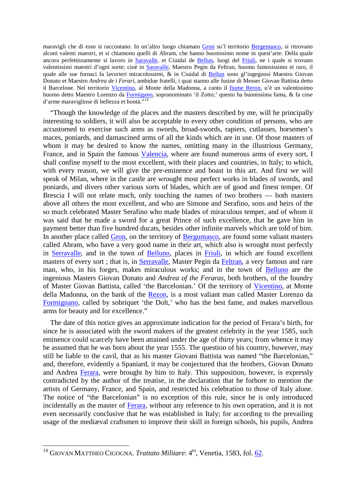maravigli che di esso si raccontano. In un'altro luogo chiamato [Gron](http://maps.google.com/maps?f=q&source=s_q&hl=en&geocode=&q=Gron,+Italy&sll=46.166695,13.000002&sspn=0.036141,0.068064&gl=us&ie=UTF8&hq=&hnear=Gron,+Sospirolo+Belluno,+Veneto,+Italy&ll=46.141129,12.089553&spn=0.018822,0.034032&t=h&z=15) su'l territorio [Bergemasco,](http://maps.google.com/maps?f=q&source=s_q&hl=en&q=Bergamasco+Alessandria,+Piedmont,+Italy&sll=46.065608,11.535645&sspn=4.824939,8.712158&gl=us&ie=UTF8&cd=1&geocode=FYgGrAIdGweBAA&split=0&hq=&hnear=Bergamasco+Alessandria,+Piedmont,+Italy&t=h&z=14) si ritrovano alcuni valenti maestri, et si chiamono quelli di Abram, che hanno buonissimo nome in quest'arte. Della quale ancora perfettissamente si lavoro in [Saravalle,](http://maps.google.com/maps?f=q&source=s_q&hl=en&geocode=&q=Serravalle,Italy&sll=46.139964,12.217591&sspn=0.150583,0.272255&gl=us&g=Belluno,Italy&ie=UTF8&hq=&hnear=Serravalle+a+Po+Mantua,+Lombardy,+Italy&ll=45.063822,11.13018&spn=0.153499,0.272255&t=h&z=12) et Ciuidal de [Bellun,](http://maps.google.com/maps?f=q&source=s_q&hl=en&geocode=&q=Belluno,Italy&sll=43.1521,-2.675171&sspn=0.634179,1.08902&gl=us&ie=UTF8&hq=&hnear=Belluno,+Veneto,+Italy&t=h&z=12) luogi del [Friuli,](http://maps.google.com/maps?f=q&source=s_q&hl=en&geocode=&q=Friuli,+Italy&sll=46.165625,13.000002&sspn=0.036142,0.068064&gl=us&ie=UTF8&hq=Friuli&hnear=Friuli,+33038+San+Daniele+del+Friuli+UD,+Italy&ll=46.166695,13.000002&spn=0.036141,0.068064&t=h&z=14) ne i quale si trovano valentissimi maestri d'ogni sorte; cioè in [Saravalle,](http://maps.google.com/maps?f=q&source=s_q&hl=en&geocode=&q=Serravalle,Italy&sll=46.139964,12.217591&sspn=0.150583,0.272255&gl=us&g=Belluno,Italy&ie=UTF8&hq=&hnear=Serravalle+a+Po+Mantua,+Lombardy,+Italy&ll=45.063822,11.13018&spn=0.153499,0.272255&t=h&z=12) Maestro Pegin da Feltran, huomo famosissimo et raro, il quale alle sue fornaci fa lavorieri miracolossimi, & in Ciuidal di [Bellun](http://maps.google.com/maps?f=q&source=s_q&hl=en&geocode=&q=Belluno,Italy&sll=43.1521,-2.675171&sspn=0.634179,1.08902&gl=us&ie=UTF8&hq=&hnear=Belluno,+Veneto,+Italy&t=h&z=12) sono gl'ingegnosi Maestro Giovan Donato et Maestro *Andrea de i Ferari*, ambidue fratelli, i quai stanno alle fusine di Messer Giovan Battista detto il Barcelone. Nel territorio [Vicentino,](http://maps.google.com/maps?f=q&source=s_q&hl=en&geocode=&q=Vicentina,Italia&sll=45.309787,11.535988&sspn=0.07654,0.132523&ie=UTF8&hq=Vicentina,Italia&hnear=&ll=45.461816,11.397629&spn=0.076334,0.132523&t=h&z=13) al Monte della Madonna, a canto il [fiume Reron,](http://maps.google.com/maps?f=q&source=s_q&hl=en&q=Fiume+Retrone,+36100+Vicenza,+Veneto,+Italy&sll=45.697547,11.445694&sspn=0.304057,0.53009&ie=UTF8&cd=1&geocode=FZnNtgIdWQqwAA&split=0&hq=&hnear=Fiume+Retrone&ll=45.535183,11.539807&spn=0.019059,0.033131&t=) u'è un valentissimo huomo detto Maestro Lorenzo da [Formigano,](http://maps.google.com/maps?f=q&source=s_q&hl=en&geocode=&q=Formignano,Italia&sll=45.461816,11.397629&sspn=0.076334,0.132523&ie=UTF8&hq=&hnear=Formignano,+Cesena+Forli,+Emilia-Romagna,+Italy&t=h&z=15) sopranominato 'il Zotto;' questo ha buonissima fama, & fa cose d'arme maravigliose di bellezza et bontà."<sup>[14](#page-14-0)</sup>

"Though the knowledge of the places and the masters described by me, will he principally interesting to soldiers, it will also be acceptable to every other condition of persons, who are accustomed to exercise such arms as swords, broad-swords, rapiers, cutlasses, horsemen's maces, poniards, and damascined arms of all the kinds which are in use. Of those masters of whom it may be desired to know the names, omitting many in the illustrious Germany, France, and in Spain the famous [Valencia,](http://maps.google.com/maps?f=q&source=s_q&hl=en&geocode=&q=Valencia&sll=44.828296,8.455963&sspn=0.038533,0.068064&gl=us&ie=UTF8&hq=&hnear=Valencia,+Spain&t=h&z=11) where are found numerous arms of every sort, I shall confine myself to the most excellent, with their places and countries, in Italy; to which, with every reason, we will give the pre-eminence and boast in this art. And first we will speak of Milan, where in the castle are wrought most perfect works in blades of swords, and poniards, and divers other various sorts of blades, which are of good and finest temper. Of Brescia I will not relate much, only touching the names of two brothers — both masters above all others the most excellent, and who are Simone and Serafino, sons and heirs of the so much celebrated Master Serafino who made blades of miraculous temper, and of whom it was said that he made a sword for a great Prince of such excellence, that he gave him in payment better than five hundred ducats, besides other infinite marvels which are told of him. In another place called [Gron,](http://maps.google.com/maps?f=q&source=s_q&hl=en&geocode=&q=Gron,+Italy&sll=46.166695,13.000002&sspn=0.036141,0.068064&gl=us&ie=UTF8&hq=&hnear=Gron,+Sospirolo+Belluno,+Veneto,+Italy&ll=46.141129,12.089553&spn=0.018822,0.034032&t=h&z=15) on the territory of [Bergumasco,](http://maps.google.com/maps?f=q&source=s_q&hl=en&q=Bergamasco+Alessandria,+Piedmont,+Italy&sll=46.065608,11.535645&sspn=4.824939,8.712158&gl=us&ie=UTF8&cd=1&geocode=FYgGrAIdGweBAA&split=0&hq=&hnear=Bergamasco+Alessandria,+Piedmont,+Italy&t=h&z=14) are found some valiant masters called Abram, who have a very good name in their art, which also is wrought most perfectly in [Serravalle,](http://maps.google.com/maps?f=q&source=s_q&hl=en&geocode=&q=Serravalle,Italy&sll=46.139964,12.217591&sspn=0.150583,0.272255&gl=us&g=Belluno,Italy&ie=UTF8&hq=&hnear=Serravalle+a+Po+Mantua,+Lombardy,+Italy&ll=45.063822,11.13018&spn=0.153499,0.272255&t=h&z=12) and in the town of [Belluno,](http://maps.google.com/maps?f=q&source=s_q&hl=en&geocode=&q=Belluno,Italy&sll=43.1521,-2.675171&sspn=0.634179,1.08902&gl=us&ie=UTF8&hq=&hnear=Belluno,+Veneto,+Italy&t=h&z=12) places in [Friuli,](http://maps.google.com/maps?f=q&source=s_q&hl=en&geocode=&q=Friuli,+Italy&sll=46.165625,13.000002&sspn=0.036142,0.068064&gl=us&ie=UTF8&hq=Friuli&hnear=Friuli,+33038+San+Daniele+del+Friuli+UD,+Italy&ll=46.166695,13.000002&spn=0.036141,0.068064&t=h&z=14) in which are found excellent masters of every sort ; that is, in [Serravalle,](http://maps.google.com/maps?f=q&source=s_q&hl=en&geocode=&q=Serravalle,Italy&sll=46.139964,12.217591&sspn=0.150583,0.272255&gl=us&g=Belluno,Italy&ie=UTF8&hq=&hnear=Serravalle+a+Po+Mantua,+Lombardy,+Italy&ll=45.063822,11.13018&spn=0.153499,0.272255&t=h&z=12) Master Pegin da [Feltran,](http://maps.google.com/maps?f=q&source=s_q&hl=en&q=Feltre+Belluno,+Veneto,+Italy&sll=44.828296,8.455963&sspn=0.038533,0.068064&gl=us&ie=UTF8&cd=1&geocode=FQwovgIdv6q1AA&split=0&hq=&hnear=Feltre+Belluno,+Veneto,+Italy&t=h&z=12) a very famous and rare man, who, in his forges, makes miraculous works; and in the town of [Belluno](http://maps.google.com/maps?f=q&source=s_q&hl=en&geocode=&q=Belluno,Italy&sll=43.1521,-2.675171&sspn=0.634179,1.08902&gl=us&ie=UTF8&hq=&hnear=Belluno,+Veneto,+Italy&t=h&z=12) are the ingenious Masters Giovan Donato and *Andrea of the Feraras,* both brothers, of the foundry of Master Giovan Battista, called 'the Barcelonian.' Of the territory of [Vicentino,](http://maps.google.com/maps?f=q&source=s_q&hl=en&geocode=&q=Vicentina,Italia&sll=45.309787,11.535988&sspn=0.07654,0.132523&ie=UTF8&hq=Vicentina,Italia&hnear=&ll=45.461816,11.397629&spn=0.076334,0.132523&t=h&z=13) at Monte della Madonna, on the bank of the [Rezon,](http://maps.google.com/maps?f=q&source=s_q&hl=en&q=Fiume+Retrone,+36100+Vicenza,+Veneto,+Italy&sll=45.697547,11.445694&sspn=0.304057,0.53009&ie=UTF8&cd=1&geocode=FZnNtgIdWQqwAA&split=0&hq=&hnear=Fiume+Retrone&ll=45.535183,11.539807&spn=0.019059,0.033131&t=) is a most valiant man called Master Lorenzo da [Formignano,](http://maps.google.com/maps?f=q&source=s_q&hl=en&geocode=&q=Formignano,Italia&sll=45.461816,11.397629&sspn=0.076334,0.132523&ie=UTF8&hq=&hnear=Formignano,+Cesena+Forli,+Emilia-Romagna,+Italy&t=h&z=15) called by sobriquet 'the Dolt,' who has the best fame, and makes marvellous arms for beauty and for excellence."

The date of this notice gives an approximate indication for the period of Ferara's birth, for since he is associated with the sword makers of the greatest celebrity in the year 1585, such eminence could scarcely have been attained under the age of thirty years; from whence it may be assumed that he was born about the year 1555. The question of his country, however, may still be liable to the cavil, that as his master Giovani Battista was named "the Barcelonian," and, therefore, evidently a Spaniard, it may be conjectured that the brothers, Giovan Donato and Andrea [Ferara,](http://maps.google.com/maps?f=q&source=s_q&hl=en&geocode=&q=Ferara,+Italy&sll=46.016524,11.905727&sspn=0.15092,0.272255&gl=us&ie=UTF8&hq=&hnear=Ferrara,+Emilia-Romagna,+Italy&t=h&z=11) were brought by him to Italy. This supposition, however, is expressly contradicted by the author of the treatise, in the declaration that he forbore to mention the artists of Germany, France, and Spain, and restricted his celebration to those of Italy alone. The notice of "the Barcelonian" is no exception of this rule, since he is only introduced incidentally as the master of [Ferara,](http://maps.google.com/maps?f=q&source=s_q&hl=en&geocode=&q=Ferara,+Italy&sll=46.016524,11.905727&sspn=0.15092,0.272255&gl=us&ie=UTF8&hq=&hnear=Ferrara,+Emilia-Romagna,+Italy&t=h&z=11) without any reference to his own operation, and it is not even necessarily conclusive that he was established in Italy; for according to the prevailing usage of the mediæval craftsmen to improve their skill in foreign schools, his pupils, Andrea

<span id="page-14-0"></span><sup>&</sup>lt;sup>14</sup> GIOVAN MATTHEO CIGOGNA. *Trattato Militare*: 4<sup>to</sup>, Venetia, 1583, fol. [62.](http://books.google.com/books?id=5L_t4eYe0xIC&lpg=PT135&ots=5p0NYwS_kP&dq=GIOVAN%20CIGOGNA.%20Trattato%20Militare&pg=PT138#v=onepage&q=&f=false)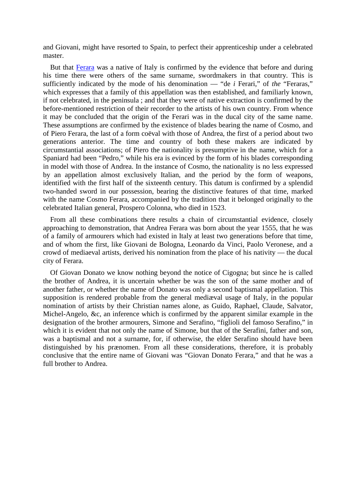and Giovani, might have resorted to Spain, to perfect their apprenticeship under a celebrated master.

But that [Ferara](http://maps.google.com/maps?f=q&source=s_q&hl=en&geocode=&q=Ferara,+Italy&sll=46.016524,11.905727&sspn=0.15092,0.272255&gl=us&ie=UTF8&hq=&hnear=Ferrara,+Emilia-Romagna,+Italy&t=h&z=11) was a native of Italy is confirmed by the evidence that before and during his time there were others of the same surname, swordmakers in that country. This is sufficiently indicated by the mode of his denomination — "de *i* Ferari," of *the* "Feraras," which expresses that a family of this appellation was then established, and familiarly known, if not celebrated, in the peninsula ; and that they were of native extraction is confirmed by the before-mentioned restriction of their recorder to the artists of his own country. From whence it may be concluded that the origin of the Ferari was in the ducal city of the same name. These assumptions are confirmed by the existence of blades bearing the name of Cosmo, and of Piero Ferara, the last of a form coëval with those of Andrea, the first of a period about two generations anterior. The time and country of both these makers are indicated by circumstantial associations; of Piero the nationality is presumptive in the name, which for a Spaniard had been "Pedro," while his era is evinced by the form of his blades corresponding in model with those of Andrea. In the instance of Cosmo, the nationality is no less expressed by an appellation almost exclusively Italian, and the period by the form of weapons, identified with the first half of the sixteenth century. This datum is confirmed by a splendid two-handed sword in our possession, bearing the distinctive features of that time, marked with the name Cosmo Ferara, accompanied by the tradition that it belonged originally to the celebrated Italian general, Prospero Colonna, who died in 1523.

From all these combinations there results a chain of circumstantial evidence, closely approaching to demonstration, that Andrea Ferara was born about the year 1555, that he was of a family of armourers which had existed in Italy at least two generations before that time, and of whom the first, like Giovani de Bologna, Leonardo da Vinci, Paolo Veronese, and a crowd of mediaeval artists, derived his nomination from the place of his nativity — the ducal city of Ferara.

Of Giovan Donato we know nothing beyond the notice of Cigogna; but since he is called the brother of Andrea, it is uncertain whether be was the son of the same mother and of another father, or whether the name of Donato was only a second baptismal appellation. This supposition is rendered probable from the general mediæval usage of Italy, in the popular nomination of artists by their Christian names alone, as Guido, Raphael, Claude, Salvator, Michel-Angelo, &c, an inference which is confirmed by the apparent similar example in the designation of the brother armourers, Simone and Serafino, "figlioli del famoso Serafino," in which it is evident that not only the name of Simone, but that of the Serafini, father and son, was a baptismal and not a surname, for, if otherwise, the elder Serafino should have been distinguished by his prænomen. From all these considerations, therefore, it is probably conclusive that the entire name of Giovani was "Giovan Donato Ferara," and that he was a full brother to Andrea.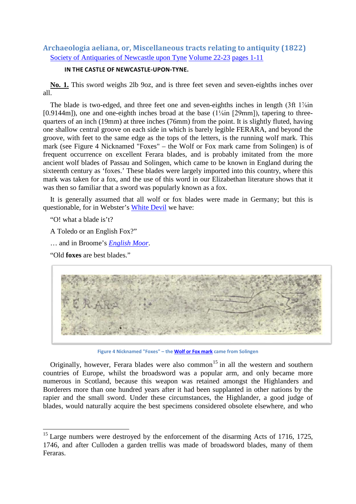# **Archaeologia aeliana, or, Miscellaneous tracts relating to antiquity (1822)** [Society of Antiquaries of Newcastle upon Tyne](http://www.archive.org/search.php?query=creator%3A%22Society%20of%20Antiquaries%20of%20Newcastle%20upon%20Tyne%22) [Volume 22-23](https://archive.org/details/archaeologiaael05unkngoog) [pages 1-11](http://www.archive.org/stream/archaeologiaaeli22sociuoft#page/n44/mode/1up)

### **IN THE CASTLE OF NEWCASTLE-UPON-TYNE.**

**No. 1.** This sword weighs 2lb 9oz, and is three feet seven and seven-eighths inches over all.

The blade is two-edged, and three feet one and seven-eighths inches in length (3ft 1<sup>7/sin</sup>) [0.9144m]), one and one-eighth inches broad at the base (1¼in [29mm]), tapering to threequarters of an inch (19mm) at three inches (76mm) from the point. It is slightly fluted, having one shallow central groove on each side in which is barely legible FERARA, and beyond the groove, with feet to the same edge as the tops of the letters, is the running wolf mark. This mark (see Figure 4 Nicknamed "Foxes" – [the Wolf or Fox mark](#page-16-0) came from Solingen) is of frequent occurrence on excellent Ferara blades, and is probably imitated from the more ancient wolf blades of Passau and Solingen, which came to be known in England during the sixteenth century as 'foxes.' These blades were largely imported into this country, where this mark was taken for a fox, and the use of this word in our Elizabethan literature shows that it was then so familiar that a sword was popularly known as a fox.

It is generally assumed that all wolf or fox blades were made in Germany; but this is questionable, for in Webster's [White Devil](http://www.gutenberg.org/cache/epub/12915/pg12915.html.utf8) we have:

"O! what a blade is't?

A Toledo or an English Fox?"

… and in Broome's *[English Moor](http://books.google.com/books?id=QJQUAAAAQAAJ&dq=%22english%20moor%22%20fox&as_brr=1&pg=PA29#v=onepage&q=&f=false)*.

"Old **foxes** are best blades."



**Figure 4 Nicknamed "Foxes" – th[e Wolf or Fox mark](http://www.archive.org/stream/inventorysurveyo01ffou#page/486/mode/2up) came from Solingen**

<span id="page-16-0"></span>Originally, however, Ferara blades were also common<sup>[15](#page-16-1)</sup> in all the western and southern countries of Europe, whilst the broadsword was a popular arm, and only became more numerous in Scotland, because this weapon was retained amongst the Highlanders and Borderers more than one hundred years after it had been supplanted in other nations by the rapier and the small sword. Under these circumstances, the Highlander, a good judge of blades, would naturally acquire the best specimens considered obsolete elsewhere, and who

<span id="page-16-1"></span> $15$  Large numbers were destroyed by the enforcement of the disarming Acts of 1716, 1725, 1746, and after Culloden a garden trellis was made of broadsword blades, many of them Feraras.